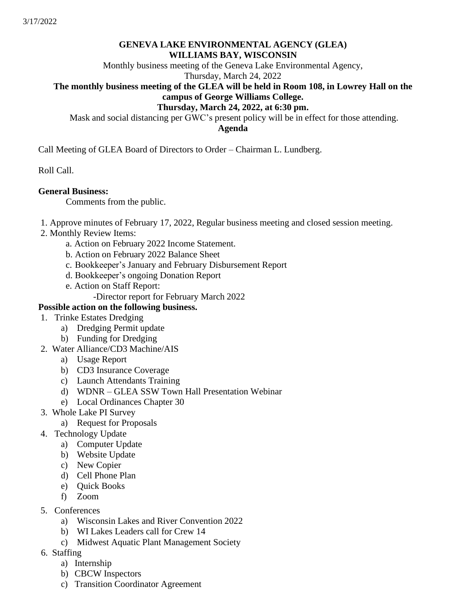### **GENEVA LAKE ENVIRONMENTAL AGENCY (GLEA) WILLIAMS BAY, WISCONSIN**

Monthly business meeting of the Geneva Lake Environmental Agency,

# Thursday, March 24, 2022

# **The monthly business meeting of the GLEA will be held in Room 108, in Lowrey Hall on the campus of George Williams College.**

#### **Thursday, March 24, 2022, at 6:30 pm.**

Mask and social distancing per GWC's present policy will be in effect for those attending. **Agenda**

Call Meeting of GLEA Board of Directors to Order – Chairman L. Lundberg.

Roll Call.

### **General Business:**

Comments from the public.

1. Approve minutes of February 17, 2022, Regular business meeting and closed session meeting.

- 2. Monthly Review Items:
	- a. Action on February 2022 Income Statement.
	- b. Action on February 2022 Balance Sheet
	- c. Bookkeeper's January and February Disbursement Report
	- d. Bookkeeper's ongoing Donation Report
	- e. Action on Staff Report:
		- -Director report for February March 2022

## **Possible action on the following business.**

- 1. Trinke Estates Dredging
	- a) Dredging Permit update
	- b) Funding for Dredging
- 2. Water Alliance/CD3 Machine/AIS
	- a) Usage Report
	- b) CD3 Insurance Coverage
	- c) Launch Attendants Training
	- d) WDNR GLEA SSW Town Hall Presentation Webinar
	- e) Local Ordinances Chapter 30
- 3. Whole Lake PI Survey
	- a) Request for Proposals
- 4. Technology Update
	- a) Computer Update
	- b) Website Update
	- c) New Copier
	- d) Cell Phone Plan
	- e) Quick Books
	- f) Zoom
- 5. Conferences
	- a) Wisconsin Lakes and River Convention 2022
	- b) WI Lakes Leaders call for Crew 14
	- c) Midwest Aquatic Plant Management Society
- 6. Staffing
	- a) Internship
	- b) CBCW Inspectors
	- c) Transition Coordinator Agreement